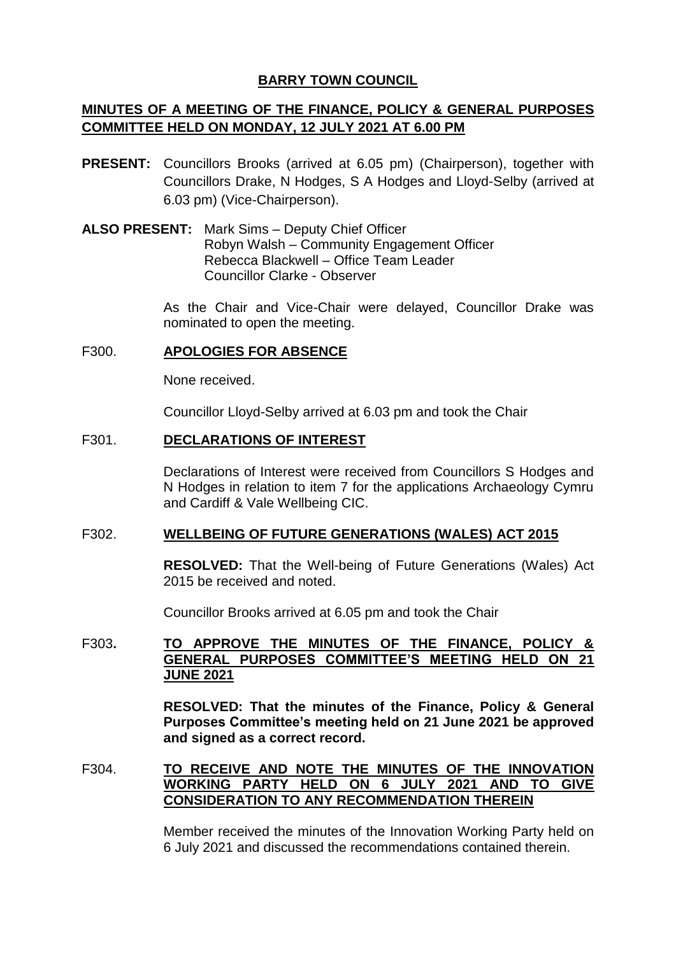# **BARRY TOWN COUNCIL**

# **MINUTES OF A MEETING OF THE FINANCE, POLICY & GENERAL PURPOSES COMMITTEE HELD ON MONDAY, 12 JULY 2021 AT 6.00 PM**

- **PRESENT:** Councillors Brooks (arrived at 6.05 pm) (Chairperson), together with Councillors Drake, N Hodges, S A Hodges and Lloyd-Selby (arrived at 6.03 pm) (Vice-Chairperson).
- **ALSO PRESENT:** Mark Sims Deputy Chief Officer Robyn Walsh – Community Engagement Officer Rebecca Blackwell – Office Team Leader Councillor Clarke - Observer

As the Chair and Vice-Chair were delayed, Councillor Drake was nominated to open the meeting.

# F300. **APOLOGIES FOR ABSENCE**

None received.

Councillor Lloyd-Selby arrived at 6.03 pm and took the Chair

# F301. **DECLARATIONS OF INTEREST**

Declarations of Interest were received from Councillors S Hodges and N Hodges in relation to item 7 for the applications Archaeology Cymru and Cardiff & Vale Wellbeing CIC.

#### F302. **WELLBEING OF FUTURE GENERATIONS (WALES) ACT 2015**

**RESOLVED:** That the Well-being of Future Generations (Wales) Act 2015 be received and noted.

Councillor Brooks arrived at 6.05 pm and took the Chair

#### F303**. TO APPROVE THE MINUTES OF THE FINANCE, POLICY & GENERAL PURPOSES COMMITTEE'S MEETING HELD ON 21 JUNE 2021**

**RESOLVED: That the minutes of the Finance, Policy & General Purposes Committee's meeting held on 21 June 2021 be approved and signed as a correct record.**

# F304. **TO RECEIVE AND NOTE THE MINUTES OF THE INNOVATION WORKING PARTY HELD ON 6 JULY 2021 AND TO GIVE CONSIDERATION TO ANY RECOMMENDATION THEREIN**

Member received the minutes of the Innovation Working Party held on 6 July 2021 and discussed the recommendations contained therein.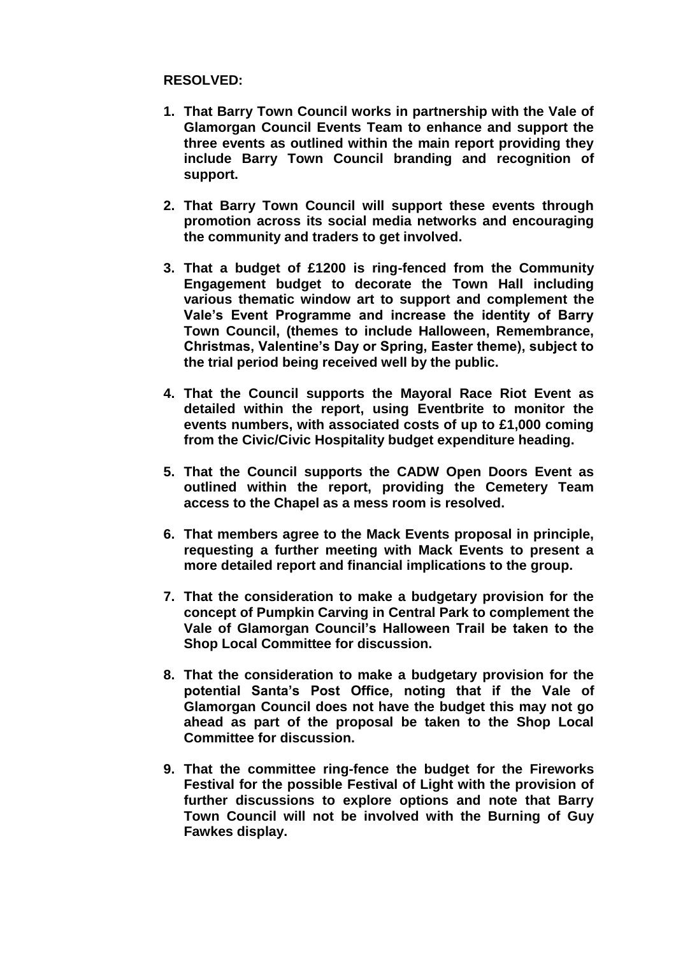# **RESOLVED:**

- **1. That Barry Town Council works in partnership with the Vale of Glamorgan Council Events Team to enhance and support the three events as outlined within the main report providing they include Barry Town Council branding and recognition of support.**
- **2. That Barry Town Council will support these events through promotion across its social media networks and encouraging the community and traders to get involved.**
- **3. That a budget of £1200 is ring-fenced from the Community Engagement budget to decorate the Town Hall including various thematic window art to support and complement the Vale's Event Programme and increase the identity of Barry Town Council, (themes to include Halloween, Remembrance, Christmas, Valentine's Day or Spring, Easter theme), subject to the trial period being received well by the public.**
- **4. That the Council supports the Mayoral Race Riot Event as detailed within the report, using Eventbrite to monitor the events numbers, with associated costs of up to £1,000 coming from the Civic/Civic Hospitality budget expenditure heading.**
- **5. That the Council supports the CADW Open Doors Event as outlined within the report, providing the Cemetery Team access to the Chapel as a mess room is resolved.**
- **6. That members agree to the Mack Events proposal in principle, requesting a further meeting with Mack Events to present a more detailed report and financial implications to the group.**
- **7. That the consideration to make a budgetary provision for the concept of Pumpkin Carving in Central Park to complement the Vale of Glamorgan Council's Halloween Trail be taken to the Shop Local Committee for discussion.**
- **8. That the consideration to make a budgetary provision for the potential Santa's Post Office, noting that if the Vale of Glamorgan Council does not have the budget this may not go ahead as part of the proposal be taken to the Shop Local Committee for discussion.**
- **9. That the committee ring-fence the budget for the Fireworks Festival for the possible Festival of Light with the provision of further discussions to explore options and note that Barry Town Council will not be involved with the Burning of Guy Fawkes display.**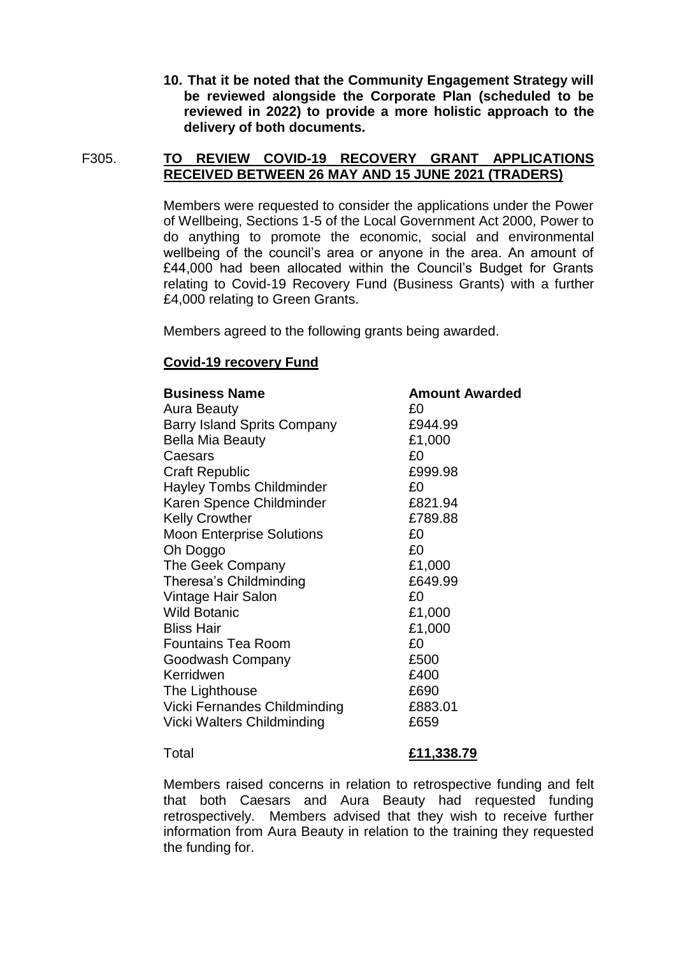**10. That it be noted that the Community Engagement Strategy will be reviewed alongside the Corporate Plan (scheduled to be reviewed in 2022) to provide a more holistic approach to the delivery of both documents.** 

# F305. **TO REVIEW COVID-19 RECOVERY GRANT APPLICATIONS RECEIVED BETWEEN 26 MAY AND 15 JUNE 2021 (TRADERS)**

Members were requested to consider the applications under the Power of Wellbeing, Sections 1-5 of the Local Government Act 2000, Power to do anything to promote the economic, social and environmental wellbeing of the council's area or anyone in the area. An amount of £44,000 had been allocated within the Council's Budget for Grants relating to Covid-19 Recovery Fund (Business Grants) with a further £4,000 relating to Green Grants.

Members agreed to the following grants being awarded.

# **Covid-19 recovery Fund**

| <b>Business Name</b>               | <b>Amount Awarded</b> |
|------------------------------------|-----------------------|
| Aura Beauty                        | £0                    |
| <b>Barry Island Sprits Company</b> | £944.99               |
| <b>Bella Mia Beauty</b>            | £1,000                |
| Caesars                            | £0                    |
| <b>Craft Republic</b>              | £999.98               |
| <b>Hayley Tombs Childminder</b>    | £0                    |
| Karen Spence Childminder           | £821.94               |
| <b>Kelly Crowther</b>              | £789.88               |
| <b>Moon Enterprise Solutions</b>   | £0                    |
| Oh Doggo                           | £0                    |
| The Geek Company                   | £1,000                |
| Theresa's Childminding             | £649.99               |
| Vintage Hair Salon                 | £0                    |
| <b>Wild Botanic</b>                | £1,000                |
| <b>Bliss Hair</b>                  | £1,000                |
| <b>Fountains Tea Room</b>          | £0                    |
| Goodwash Company                   | £500                  |
| Kerridwen                          | £400                  |
| The Lighthouse                     | £690                  |
| Vicki Fernandes Childminding       | £883.01               |
| Vicki Walters Childminding         | £659                  |

#### Total **£11,338.79**

Members raised concerns in relation to retrospective funding and felt that both Caesars and Aura Beauty had requested funding retrospectively. Members advised that they wish to receive further information from Aura Beauty in relation to the training they requested the funding for.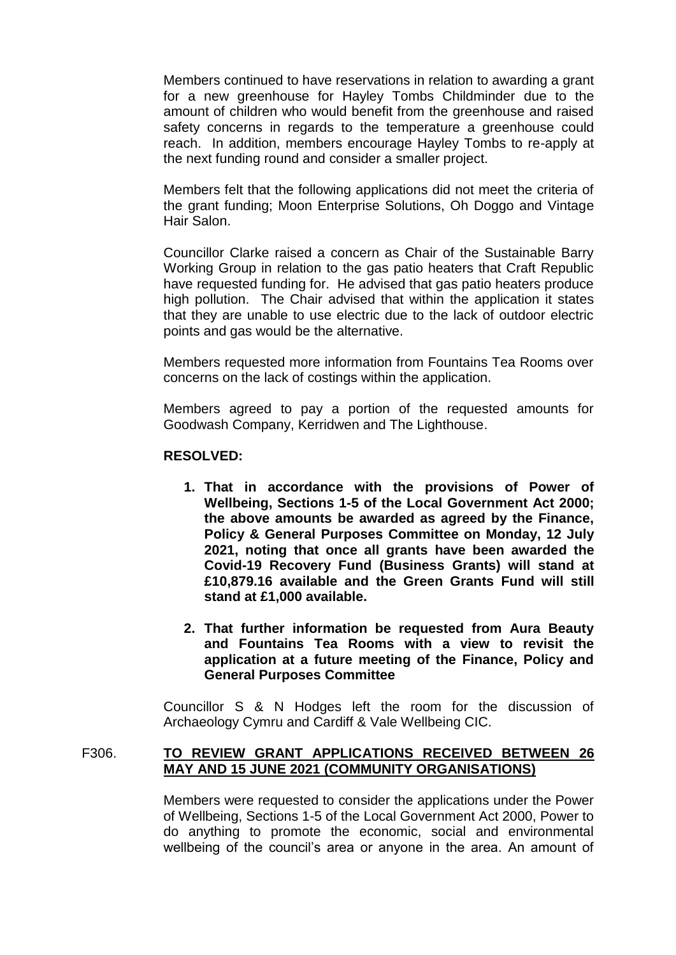Members continued to have reservations in relation to awarding a grant for a new greenhouse for Hayley Tombs Childminder due to the amount of children who would benefit from the greenhouse and raised safety concerns in regards to the temperature a greenhouse could reach. In addition, members encourage Hayley Tombs to re-apply at the next funding round and consider a smaller project.

Members felt that the following applications did not meet the criteria of the grant funding; Moon Enterprise Solutions, Oh Doggo and Vintage Hair Salon.

Councillor Clarke raised a concern as Chair of the Sustainable Barry Working Group in relation to the gas patio heaters that Craft Republic have requested funding for. He advised that gas patio heaters produce high pollution. The Chair advised that within the application it states that they are unable to use electric due to the lack of outdoor electric points and gas would be the alternative.

Members requested more information from Fountains Tea Rooms over concerns on the lack of costings within the application.

Members agreed to pay a portion of the requested amounts for Goodwash Company, Kerridwen and The Lighthouse.

# **RESOLVED:**

- **1. That in accordance with the provisions of Power of Wellbeing, Sections 1-5 of the Local Government Act 2000; the above amounts be awarded as agreed by the Finance, Policy & General Purposes Committee on Monday, 12 July 2021, noting that once all grants have been awarded the Covid-19 Recovery Fund (Business Grants) will stand at £10,879.16 available and the Green Grants Fund will still stand at £1,000 available.**
- **2. That further information be requested from Aura Beauty and Fountains Tea Rooms with a view to revisit the application at a future meeting of the Finance, Policy and General Purposes Committee**

Councillor S & N Hodges left the room for the discussion of Archaeology Cymru and Cardiff & Vale Wellbeing CIC.

# F306. **TO REVIEW GRANT APPLICATIONS RECEIVED BETWEEN 26 MAY AND 15 JUNE 2021 (COMMUNITY ORGANISATIONS)**

Members were requested to consider the applications under the Power of Wellbeing, Sections 1-5 of the Local Government Act 2000, Power to do anything to promote the economic, social and environmental wellbeing of the council's area or anyone in the area. An amount of